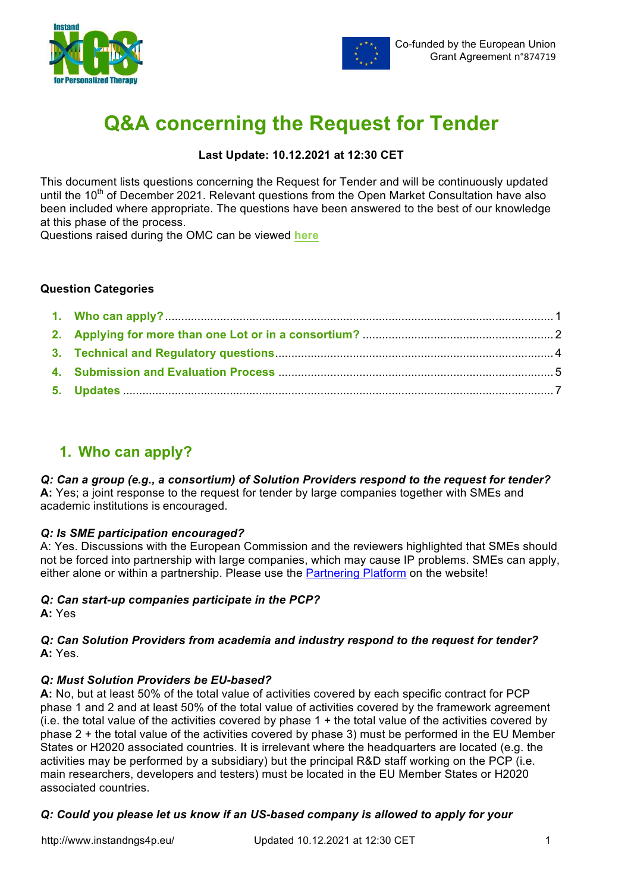



# **Q&A concerning the Request for Tender**

## **Last Update: 10.12.2021 at 12:30 CET**

This document lists questions concerning the Request for Tender and will be continuously updated until the 10<sup>th</sup> of December 2021. Relevant questions from the Open Market Consultation have also been included where appropriate. The questions have been answered to the best of our knowledge at this phase of the process.

Questions raised during the OMC can be viewed **here**

## **Question Categories**

## **1. Who can apply?**

## *Q: Can a group (e.g., a consortium) of Solution Providers respond to the request for tender?*

**A:** Yes; a joint response to the request for tender by large companies together with SMEs and academic institutions is encouraged.

## *Q: Is SME participation encouraged?*

A: Yes. Discussions with the European Commission and the reviewers highlighted that SMEs should not be forced into partnership with large companies, which may cause IP problems. SMEs can apply, either alone or within a partnership. Please use the Partnering Platform on the website!

## *Q: Can start-up companies participate in the PCP?*

**A:** Yes

## *Q: Can Solution Providers from academia and industry respond to the request for tender?* **A:** Yes.

## *Q: Must Solution Providers be EU-based?*

**A:** No, but at least 50% of the total value of activities covered by each specific contract for PCP phase 1 and 2 and at least 50% of the total value of activities covered by the framework agreement (i.e. the total value of the activities covered by phase  $1 +$  the total value of the activities covered by phase 2 + the total value of the activities covered by phase 3) must be performed in the EU Member States or H2020 associated countries. It is irrelevant where the headquarters are located (e.g. the activities may be performed by a subsidiary) but the principal R&D staff working on the PCP (i.e. main researchers, developers and testers) must be located in the EU Member States or H2020 associated countries.

## *Q: Could you please let us know if an US-based company is allowed to apply for your*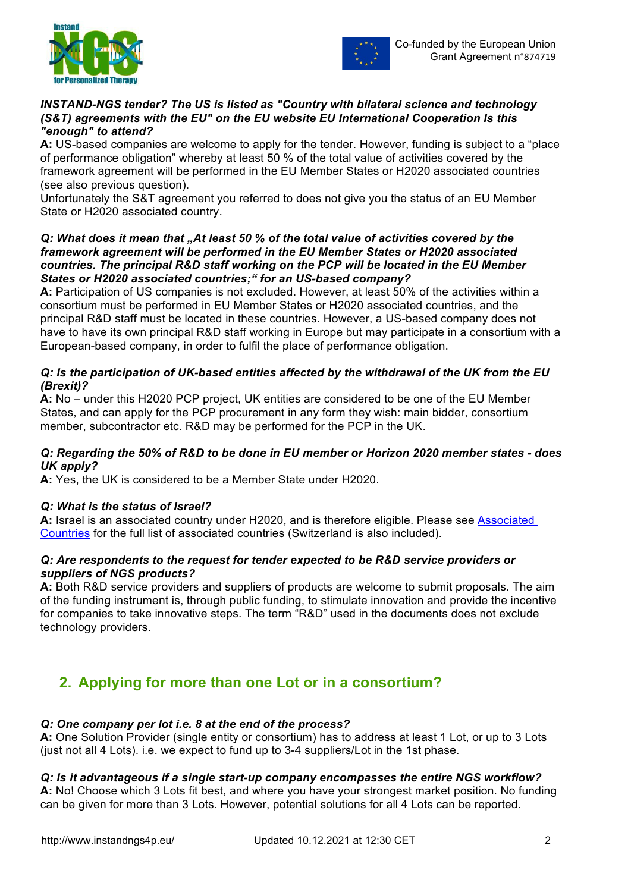



#### *INSTAND-NGS tender? The US is listed as "Country with bilateral science and technology (S&T) agreements with the EU" on the EU website EU International Cooperation Is this "enough" to attend?*

**A:** US-based companies are welcome to apply for the tender. However, funding is subject to a "place of performance obligation" whereby at least 50 % of the total value of activities covered by the framework agreement will be performed in the EU Member States or H2020 associated countries (see also previous question).

Unfortunately the S&T agreement you referred to does not give you the status of an EU Member State or H2020 associated country.

#### *Q: What does it mean that "At least 50 % of the total value of activities covered by the framework agreement will be performed in the EU Member States or H2020 associated countries. The principal R&D staff working on the PCP will be located in the EU Member States or H2020 associated countries;" for an US-based company?*

**A:** Participation of US companies is not excluded. However, at least 50% of the activities within a consortium must be performed in EU Member States or H2020 associated countries, and the principal R&D staff must be located in these countries. However, a US-based company does not have to have its own principal R&D staff working in Europe but may participate in a consortium with a European-based company, in order to fulfil the place of performance obligation.

## *Q: Is the participation of UK-based entities affected by the withdrawal of the UK from the EU (Brexit)?*

**A:** No – under this H2020 PCP project, UK entities are considered to be one of the EU Member States, and can apply for the PCP procurement in any form they wish: main bidder, consortium member, subcontractor etc. R&D may be performed for the PCP in the UK.

## *Q: Regarding the 50% of R&D to be done in EU member or Horizon 2020 member states - does UK apply?*

**A:** Yes, the UK is considered to be a Member State under H2020.

## *Q: What is the status of Israel?*

**A:** Israel is an associated country under H2020, and is therefore eligible. Please see Associated Countries for the full list of associated countries (Switzerland is also included).

## *Q: Are respondents to the request for tender expected to be R&D service providers or suppliers of NGS products?*

**A:** Both R&D service providers and suppliers of products are welcome to submit proposals. The aim of the funding instrument is, through public funding, to stimulate innovation and provide the incentive for companies to take innovative steps. The term "R&D" used in the documents does not exclude technology providers.

## **2. Applying for more than one Lot or in a consortium?**

## *Q: One company per lot i.e. 8 at the end of the process?*

**A:** One Solution Provider (single entity or consortium) has to address at least 1 Lot, or up to 3 Lots (just not all 4 Lots). i.e. we expect to fund up to 3-4 suppliers/Lot in the 1st phase.

## *Q: Is it advantageous if a single start-up company encompasses the entire NGS workflow?*

**A:** No! Choose which 3 Lots fit best, and where you have your strongest market position. No funding can be given for more than 3 Lots. However, potential solutions for all 4 Lots can be reported.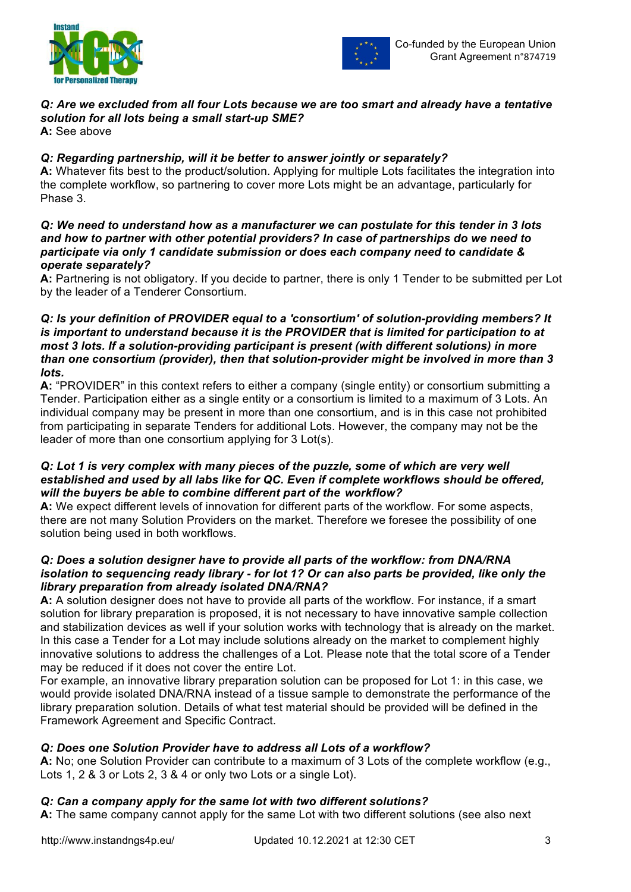



## *Q: Are we excluded from all four Lots because we are too smart and already have a tentative solution for all lots being a small start-up SME?*

**A:** See above

## *Q: Regarding partnership, will it be better to answer jointly or separately?*

**A:** Whatever fits best to the product/solution. Applying for multiple Lots facilitates the integration into the complete workflow, so partnering to cover more Lots might be an advantage, particularly for Phase 3.

#### *Q: We need to understand how as a manufacturer we can postulate for this tender in 3 lots and how to partner with other potential providers? In case of partnerships do we need to participate via only 1 candidate submission or does each company need to candidate & operate separately?*

**A:** Partnering is not obligatory. If you decide to partner, there is only 1 Tender to be submitted per Lot by the leader of a Tenderer Consortium.

## *Q: Is your definition of PROVIDER equal to a 'consortium' of solution-providing members? It is important to understand because it is the PROVIDER that is limited for participation to at most 3 lots. If a solution-providing participant is present (with different solutions) in more than one consortium (provider), then that solution-provider might be involved in more than 3 lots.*

**A:** "PROVIDER" in this context refers to either a company (single entity) or consortium submitting a Tender. Participation either as a single entity or a consortium is limited to a maximum of 3 Lots. An individual company may be present in more than one consortium, and is in this case not prohibited from participating in separate Tenders for additional Lots. However, the company may not be the leader of more than one consortium applying for 3 Lot(s).

## *Q:* Lot 1 is very complex with many pieces of the puzzle, some of which are very well *established and used by all labs like for QC. Even if complete workflows should be offered, will the buyers be able to combine different part of the workflow?*

**A:** We expect different levels of innovation for different parts of the workflow. For some aspects, there are not many Solution Providers on the market. Therefore we foresee the possibility of one solution being used in both workflows.

## *Q: Does a solution designer have to provide all parts of the workflow: from DNA/RNA isolation to sequencing ready library - for lot 1? Or can also parts be provided, like only the library preparation from already isolated DNA/RNA?*

**A:** A solution designer does not have to provide all parts of the workflow. For instance, if a smart solution for library preparation is proposed, it is not necessary to have innovative sample collection and stabilization devices as well if your solution works with technology that is already on the market. In this case a Tender for a Lot may include solutions already on the market to complement highly innovative solutions to address the challenges of a Lot. Please note that the total score of a Tender may be reduced if it does not cover the entire Lot.

For example, an innovative library preparation solution can be proposed for Lot 1: in this case, we would provide isolated DNA/RNA instead of a tissue sample to demonstrate the performance of the library preparation solution. Details of what test material should be provided will be defined in the Framework Agreement and Specific Contract.

## *Q: Does one Solution Provider have to address all Lots of a workflow?*

**A:** No; one Solution Provider can contribute to a maximum of 3 Lots of the complete workflow (e.g., Lots 1, 2 & 3 or Lots 2, 3 & 4 or only two Lots or a single Lot).

## *Q: Can a company apply for the same lot with two different solutions?*

**A:** The same company cannot apply for the same Lot with two different solutions (see also next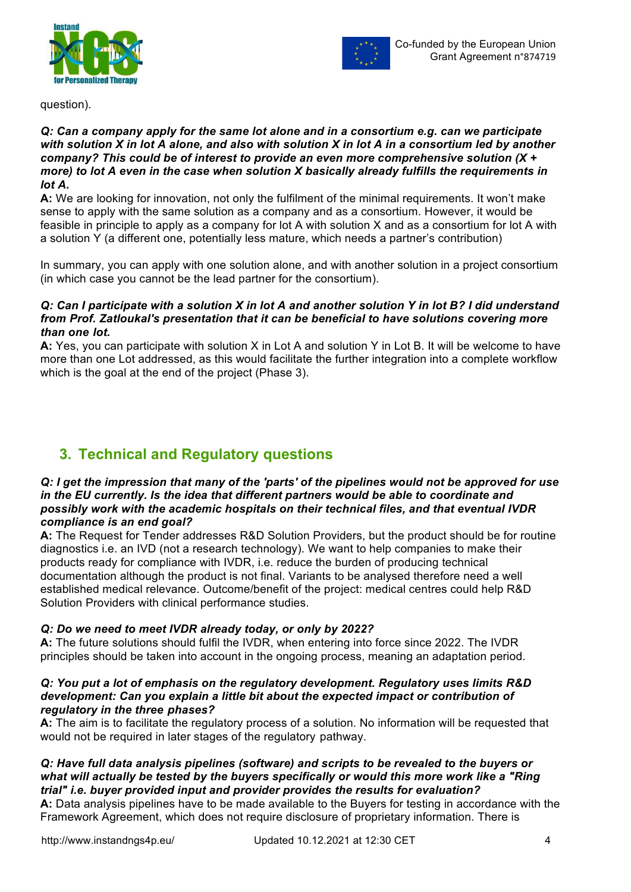



question).

#### *Q: Can a company apply for the same lot alone and in a consortium e.g. can we participate with solution X in lot A alone, and also with solution X in lot A in a consortium led by another company? This could be of interest to provide an even more comprehensive solution (X + more) to lot A even in the case when solution X basically already fulfills the requirements in lot A.*

**A:** We are looking for innovation, not only the fulfilment of the minimal requirements. It won't make sense to apply with the same solution as a company and as a consortium. However, it would be feasible in principle to apply as a company for lot A with solution X and as a consortium for lot A with a solution Y (a different one, potentially less mature, which needs a partner's contribution)

In summary, you can apply with one solution alone, and with another solution in a project consortium (in which case you cannot be the lead partner for the consortium).

#### *Q: Can I participate with a solution X in lot A and another solution Y in lot B? I did understand from Prof. Zatloukal's presentation that it can be beneficial to have solutions covering more than one lot.*

**A:** Yes, you can participate with solution X in Lot A and solution Y in Lot B. It will be welcome to have more than one Lot addressed, as this would facilitate the further integration into a complete workflow which is the goal at the end of the project (Phase 3).

## **3. Technical and Regulatory questions**

#### *Q: I get the impression that many of the 'parts' of the pipelines would not be approved for use in the EU currently. Is the idea that different partners would be able to coordinate and possibly work with the academic hospitals on their technical files, and that eventual IVDR compliance is an end goal?*

**A:** The Request for Tender addresses R&D Solution Providers, but the product should be for routine diagnostics i.e. an IVD (not a research technology). We want to help companies to make their products ready for compliance with IVDR, i.e. reduce the burden of producing technical documentation although the product is not final. Variants to be analysed therefore need a well established medical relevance. Outcome/benefit of the project: medical centres could help R&D Solution Providers with clinical performance studies.

## *Q: Do we need to meet IVDR already today, or only by 2022?*

**A:** The future solutions should fulfil the IVDR, when entering into force since 2022. The IVDR principles should be taken into account in the ongoing process, meaning an adaptation period.

#### *Q: You put a lot of emphasis on the regulatory development. Regulatory uses limits R&D development: Can you explain a little bit about the expected impact or contribution of regulatory in the three phases?*

**A:** The aim is to facilitate the regulatory process of a solution. No information will be requested that would not be required in later stages of the regulatory pathway.

## *Q: Have full data analysis pipelines (software) and scripts to be revealed to the buyers or what will actually be tested by the buyers specifically or would this more work like a "Ring trial" i.e. buyer provided input and provider provides the results for evaluation?*

**A:** Data analysis pipelines have to be made available to the Buyers for testing in accordance with the Framework Agreement, which does not require disclosure of proprietary information. There is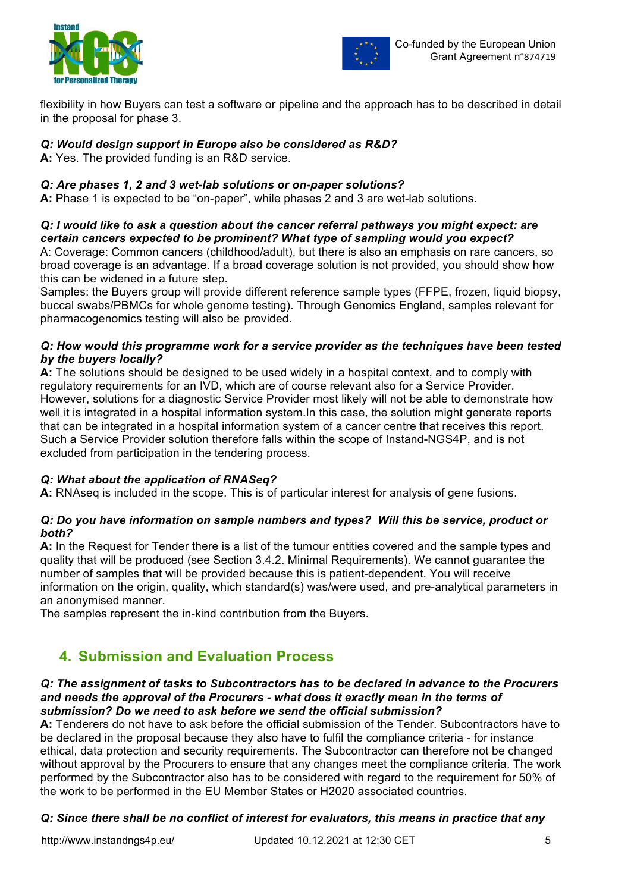



flexibility in how Buyers can test a software or pipeline and the approach has to be described in detail in the proposal for phase 3.

## *Q: Would design support in Europe also be considered as R&D?*

**A:** Yes. The provided funding is an R&D service.

## *Q: Are phases 1, 2 and 3 wet-lab solutions or on-paper solutions?*

**A:** Phase 1 is expected to be "on-paper", while phases 2 and 3 are wet-lab solutions.

## *Q: I would like to ask a question about the cancer referral pathways you might expect: are certain cancers expected to be prominent? What type of sampling would you expect?*

A: Coverage: Common cancers (childhood/adult), but there is also an emphasis on rare cancers, so broad coverage is an advantage. If a broad coverage solution is not provided, you should show how this can be widened in a future step.

Samples: the Buyers group will provide different reference sample types (FFPE, frozen, liquid biopsy, buccal swabs/PBMCs for whole genome testing). Through Genomics England, samples relevant for pharmacogenomics testing will also be provided.

## *Q: How would this programme work for a service provider as the techniques have been tested by the buyers locally?*

**A:** The solutions should be designed to be used widely in a hospital context, and to comply with regulatory requirements for an IVD, which are of course relevant also for a Service Provider. However, solutions for a diagnostic Service Provider most likely will not be able to demonstrate how well it is integrated in a hospital information system. In this case, the solution might generate reports that can be integrated in a hospital information system of a cancer centre that receives this report. Such a Service Provider solution therefore falls within the scope of Instand-NGS4P, and is not excluded from participation in the tendering process.

## *Q: What about the application of RNASeq?*

**A:** RNAseq is included in the scope. This is of particular interest for analysis of gene fusions.

## *Q: Do you have information on sample numbers and types? Will this be service, product or both?*

**A:** In the Request for Tender there is a list of the tumour entities covered and the sample types and quality that will be produced (see Section 3.4.2. Minimal Requirements). We cannot guarantee the number of samples that will be provided because this is patient-dependent. You will receive information on the origin, quality, which standard(s) was/were used, and pre-analytical parameters in an anonymised manner.

The samples represent the in-kind contribution from the Buyers.

## **4. Submission and Evaluation Process**

#### *Q: The assignment of tasks to Subcontractors has to be declared in advance to the Procurers and needs the approval of the Procurers - what does it exactly mean in the terms of submission? Do we need to ask before we send the official submission?*

**A:** Tenderers do not have to ask before the official submission of the Tender. Subcontractors have to be declared in the proposal because they also have to fulfil the compliance criteria - for instance ethical, data protection and security requirements. The Subcontractor can therefore not be changed without approval by the Procurers to ensure that any changes meet the compliance criteria. The work performed by the Subcontractor also has to be considered with regard to the requirement for 50% of the work to be performed in the EU Member States or H2020 associated countries.

## *Q: Since there shall be no conflict of interest for evaluators, this means in practice that any*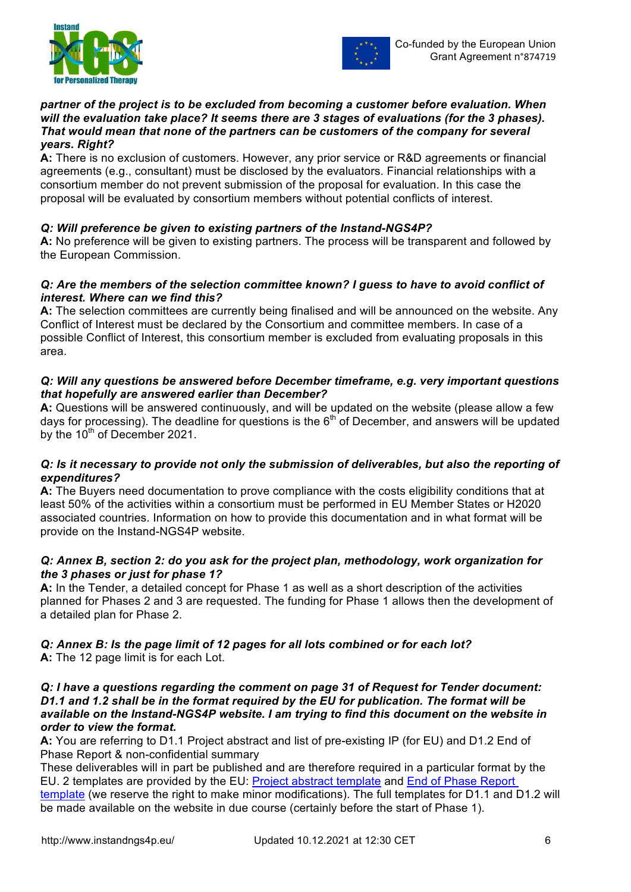



#### *partner of the project is to be excluded from becoming a customer before evaluation. When will the evaluation take place? It seems there are 3 stages of evaluations (for the 3 phases). That would mean that none of the partners can be customers of the company for several years. Right?*

**A:** There is no exclusion of customers. However, any prior service or R&D agreements or financial agreements (e.g., consultant) must be disclosed by the evaluators. Financial relationships with a consortium member do not prevent submission of the proposal for evaluation. In this case the proposal will be evaluated by consortium members without potential conflicts of interest.

## *Q: Will preference be given to existing partners of the Instand-NGS4P?*

**A:** No preference will be given to existing partners. The process will be transparent and followed by the European Commission.

#### *Q: Are the members of the selection committee known? I guess to have to avoid conflict of interest. Where can we find this?*

**A:** The selection committees are currently being finalised and will be announced on the website. Any Conflict of Interest must be declared by the Consortium and committee members. In case of a possible Conflict of Interest, this consortium member is excluded from evaluating proposals in this area.

#### *Q: Will any questions be answered before December timeframe, e.g. very important questions that hopefully are answered earlier than December?*

**A:** Questions will be answered continuously, and will be updated on the website (please allow a few days for processing). The deadline for questions is the  $6<sup>th</sup>$  of December, and answers will be updated by the 10<sup>th</sup> of December 2021.

## *Q: Is it necessary to provide not only the submission of deliverables, but also the reporting of expenditures?*

**A:** The Buyers need documentation to prove compliance with the costs eligibility conditions that at least 50% of the activities within a consortium must be performed in EU Member States or H2020 associated countries. Information on how to provide this documentation and in what format will be provide on the Instand-NGS4P website.

## *Q: Annex B, section 2: do you ask for the project plan, methodology, work organization for the 3 phases or just for phase 1?*

**A:** In the Tender, a detailed concept for Phase 1 as well as a short description of the activities planned for Phases 2 and 3 are requested. The funding for Phase 1 allows then the development of a detailed plan for Phase 2.

## *Q: Annex B: Is the page limit of 12 pages for all lots combined or for each lot?*

**A:** The 12 page limit is for each Lot.

#### *Q: I have a questions regarding the comment on page 31 of Request for Tender document: D1.1 and 1.2 shall be in the format required by the EU for publication. The format will be available on the Instand-NGS4P website. I am trying to find this document on the website in order to view the format.*

**A:** You are referring to D1.1 Project abstract and list of pre-existing IP (for EU) and D1.2 End of Phase Report & non-confidential summary

These deliverables will in part be published and are therefore required in a particular format by the EU. 2 templates are provided by the EU: Project abstract template and End of Phase Report template (we reserve the right to make minor modifications). The full templates for D1.1 and D1.2 will be made available on the website in due course (certainly before the start of Phase 1).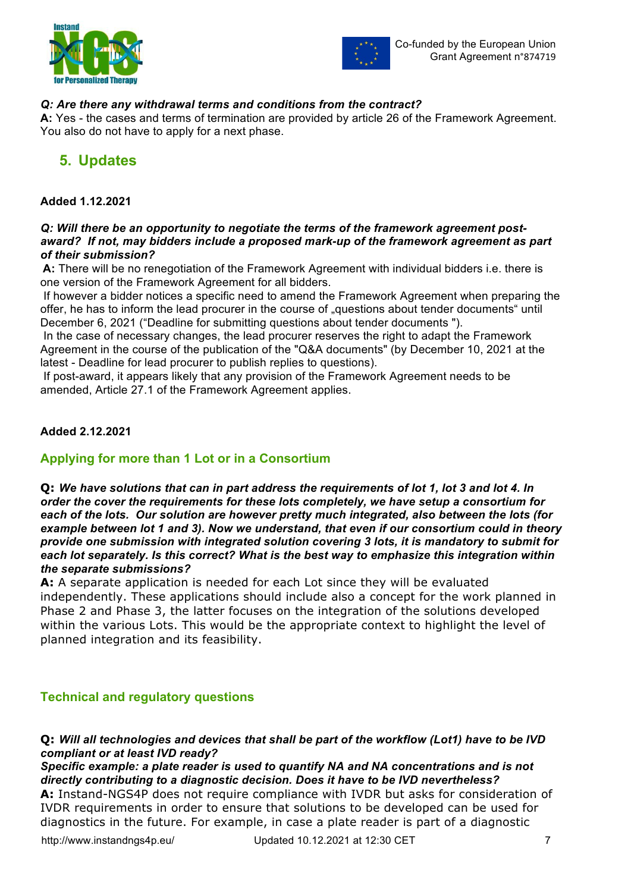



## *Q: Are there any withdrawal terms and conditions from the contract?*

**A:** Yes - the cases and terms of termination are provided by article 26 of the Framework Agreement. You also do not have to apply for a next phase.

## **5. Updates**

## **Added 1.12.2021**

#### *Q: Will there be an opportunity to negotiate the terms of the framework agreement postaward? If not, may bidders include a proposed mark-up of the framework agreement as part of their submission?*

**A:** There will be no renegotiation of the Framework Agreement with individual bidders i.e. there is one version of the Framework Agreement for all bidders.

If however a bidder notices a specific need to amend the Framework Agreement when preparing the offer, he has to inform the lead procurer in the course of "questions about tender documents" until December 6, 2021 ("Deadline for submitting questions about tender documents ").

In the case of necessary changes, the lead procurer reserves the right to adapt the Framework Agreement in the course of the publication of the "Q&A documents" (by December 10, 2021 at the latest - Deadline for lead procurer to publish replies to questions).

If post-award, it appears likely that any provision of the Framework Agreement needs to be amended, Article 27.1 of the Framework Agreement applies.

## **Added 2.12.2021**

## **Applying for more than 1 Lot or in a Consortium**

**Q:** *We have solutions that can in part address the requirements of lot 1, lot 3 and lot 4. In order the cover the requirements for these lots completely, we have setup a consortium for each of the lots. Our solution are however pretty much integrated, also between the lots (for example between lot 1 and 3). Now we understand, that even if our consortium could in theory provide one submission with integrated solution covering 3 lots, it is mandatory to submit for each lot separately. Is this correct? What is the best way to emphasize this integration within the separate submissions?*

**A:** A separate application is needed for each Lot since they will be evaluated independently. These applications should include also a concept for the work planned in Phase 2 and Phase 3, the latter focuses on the integration of the solutions developed within the various Lots. This would be the appropriate context to highlight the level of planned integration and its feasibility.

## **Technical and regulatory questions**

**Q:** *Will all technologies and devices that shall be part of the workflow (Lot1) have to be IVD compliant or at least IVD ready?*

*Specific example: a plate reader is used to quantify NA and NA concentrations and is not directly contributing to a diagnostic decision. Does it have to be IVD nevertheless?* **A:** Instand-NGS4P does not require compliance with IVDR but asks for consideration of IVDR requirements in order to ensure that solutions to be developed can be used for diagnostics in the future. For example, in case a plate reader is part of a diagnostic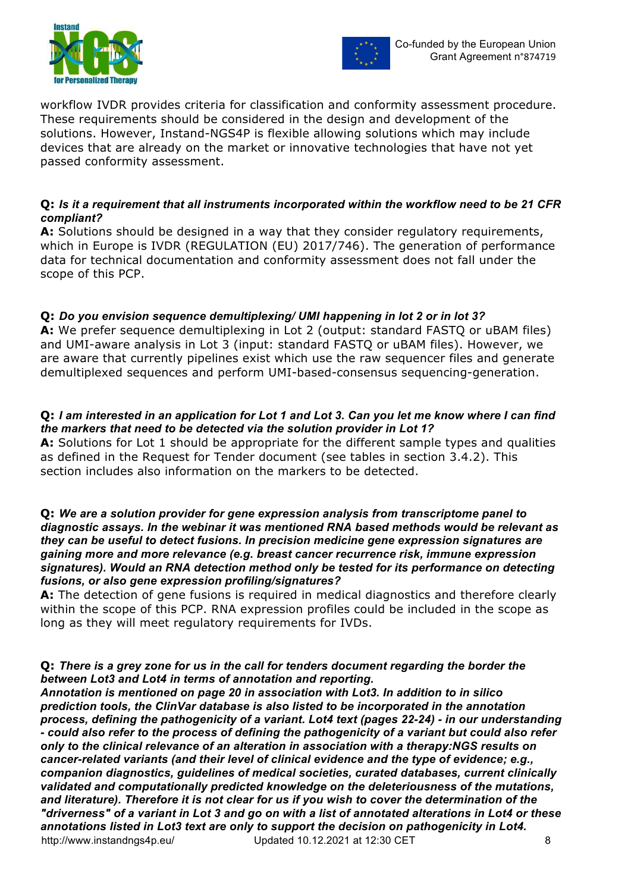



workflow IVDR provides criteria for classification and conformity assessment procedure. These requirements should be considered in the design and development of the solutions. However, Instand-NGS4P is flexible allowing solutions which may include devices that are already on the market or innovative technologies that have not yet passed conformity assessment.

## **Q:** *Is it a requirement that all instruments incorporated within the workflow need to be 21 CFR compliant?*

**A:** Solutions should be designed in a way that they consider regulatory requirements, which in Europe is IVDR (REGULATION (EU) 2017/746). The generation of performance data for technical documentation and conformity assessment does not fall under the scope of this PCP.

## **Q:** *Do you envision sequence demultiplexing/ UMI happening in lot 2 or in lot 3?*

**A:** We prefer sequence demultiplexing in Lot 2 (output: standard FASTQ or uBAM files) and UMI-aware analysis in Lot 3 (input: standard FASTQ or uBAM files). However, we are aware that currently pipelines exist which use the raw sequencer files and generate demultiplexed sequences and perform UMI-based-consensus sequencing-generation.

## **Q:** *I am interested in an application for Lot 1 and Lot 3. Can you let me know where I can find the markers that need to be detected via the solution provider in Lot 1?*

**A:** Solutions for Lot 1 should be appropriate for the different sample types and qualities as defined in the Request for Tender document (see tables in section 3.4.2). This section includes also information on the markers to be detected.

#### **Q:** *We are a solution provider for gene expression analysis from transcriptome panel to diagnostic assays. In the webinar it was mentioned RNA based methods would be relevant as they can be useful to detect fusions. In precision medicine gene expression signatures are gaining more and more relevance (e.g. breast cancer recurrence risk, immune expression signatures). Would an RNA detection method only be tested for its performance on detecting fusions, or also gene expression profiling/signatures?*

**A:** The detection of gene fusions is required in medical diagnostics and therefore clearly within the scope of this PCP. RNA expression profiles could be included in the scope as long as they will meet regulatory requirements for IVDs.

## **Q:** *There is a grey zone for us in the call for tenders document regarding the border the between Lot3 and Lot4 in terms of annotation and reporting.*

http://www.instandngs4p.eu/ Updated 10.12.2021 at 12:30 CET 8 *Annotation is mentioned on page 20 in association with Lot3. In addition to in silico prediction tools, the ClinVar database is also listed to be incorporated in the annotation process, defining the pathogenicity of a variant. Lot4 text (pages 22-24) - in our understanding - could also refer to the process of defining the pathogenicity of a variant but could also refer only to the clinical relevance of an alteration in association with a therapy:NGS results on cancer-related variants (and their level of clinical evidence and the type of evidence; e.g., companion diagnostics, guidelines of medical societies, curated databases, current clinically validated and computationally predicted knowledge on the deleteriousness of the mutations, and literature). Therefore it is not clear for us if you wish to cover the determination of the "driverness" of a variant in Lot 3 and go on with a list of annotated alterations in Lot4 or these annotations listed in Lot3 text are only to support the decision on pathogenicity in Lot4.*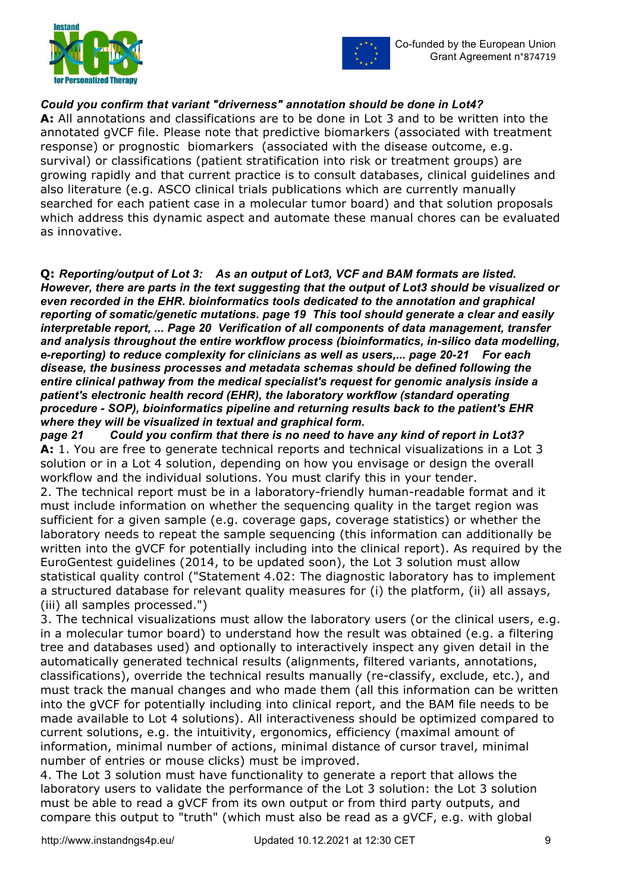



## *Could you confirm that variant "driverness" annotation should be done in Lot4?*

**A:** All annotations and classifications are to be done in Lot 3 and to be written into the annotated gVCF file. Please note that predictive biomarkers (associated with treatment response) or prognostic biomarkers (associated with the disease outcome, e.g. survival) or classifications (patient stratification into risk or treatment groups) are growing rapidly and that current practice is to consult databases, clinical guidelines and also literature (e.g. ASCO clinical trials publications which are currently manually searched for each patient case in a molecular tumor board) and that solution proposals which address this dynamic aspect and automate these manual chores can be evaluated as innovative.

**Q:** *Reporting/output of Lot 3: As an output of Lot3, VCF and BAM formats are listed. However, there are parts in the text suggesting that the output of Lot3 should be visualized or even recorded in the EHR. bioinformatics tools dedicated to the annotation and graphical reporting of somatic/genetic mutations. page 19 This tool should generate a clear and easily interpretable report, ... Page 20 Verification of all components of data management, transfer and analysis throughout the entire workflow process (bioinformatics, in-silico data modelling, e-reporting) to reduce complexity for clinicians as well as users,... page 20-21 For each disease, the business processes and metadata schemas should be defined following the entire clinical pathway from the medical specialist's request for genomic analysis inside a patient's electronic health record (EHR), the laboratory workflow (standard operating procedure - SOP), bioinformatics pipeline and returning results back to the patient's EHR where they will be visualized in textual and graphical form.* 

*page 21 Could you confirm that there is no need to have any kind of report in Lot3?* **A:** 1. You are free to generate technical reports and technical visualizations in a Lot 3 solution or in a Lot 4 solution, depending on how you envisage or design the overall workflow and the individual solutions. You must clarify this in your tender.

2. The technical report must be in a laboratory-friendly human-readable format and it must include information on whether the sequencing quality in the target region was sufficient for a given sample (e.g. coverage gaps, coverage statistics) or whether the laboratory needs to repeat the sample sequencing (this information can additionally be written into the gVCF for potentially including into the clinical report). As required by the EuroGentest guidelines (2014, to be updated soon), the Lot 3 solution must allow statistical quality control ("Statement 4.02: The diagnostic laboratory has to implement a structured database for relevant quality measures for (i) the platform, (ii) all assays, (iii) all samples processed.")

3. The technical visualizations must allow the laboratory users (or the clinical users, e.g. in a molecular tumor board) to understand how the result was obtained (e.g. a filtering tree and databases used) and optionally to interactively inspect any given detail in the automatically generated technical results (alignments, filtered variants, annotations, classifications), override the technical results manually (re-classify, exclude, etc.), and must track the manual changes and who made them (all this information can be written into the gVCF for potentially including into clinical report, and the BAM file needs to be made available to Lot 4 solutions). All interactiveness should be optimized compared to current solutions, e.g. the intuitivity, ergonomics, efficiency (maximal amount of information, minimal number of actions, minimal distance of cursor travel, minimal number of entries or mouse clicks) must be improved.

4. The Lot 3 solution must have functionality to generate a report that allows the laboratory users to validate the performance of the Lot 3 solution: the Lot 3 solution must be able to read a gVCF from its own output or from third party outputs, and compare this output to "truth" (which must also be read as a gVCF, e.g. with global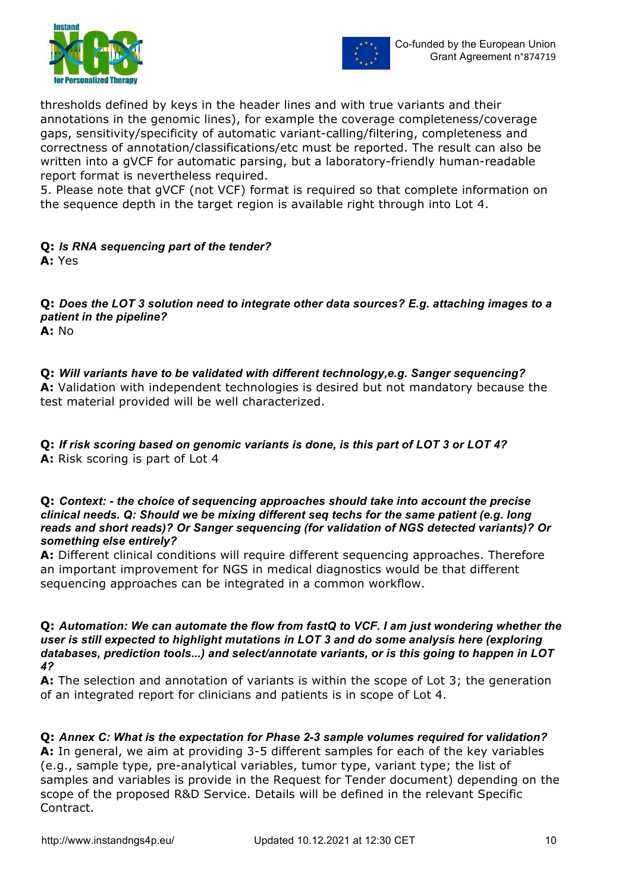



thresholds defined by keys in the header lines and with true variants and their annotations in the genomic lines), for example the coverage completeness/coverage gaps, sensitivity/specificity of automatic variant-calling/filtering, completeness and correctness of annotation/classifications/etc must be reported. The result can also be written into a gVCF for automatic parsing, but a laboratory-friendly human-readable report format is nevertheless required.

5. Please note that gVCF (not VCF) format is required so that complete information on the sequence depth in the target region is available right through into Lot 4.

#### **Q:** *Is RNA sequencing part of the tender?* **A:** Yes

**Q:** *Does the LOT 3 solution need to integrate other data sources? E.g. attaching images to a patient in the pipeline?* **A:** No

**Q:** *Will variants have to be validated with different technology,e.g. Sanger sequencing?* **A:** Validation with independent technologies is desired but not mandatory because the test material provided will be well characterized.

**Q:** *If risk scoring based on genomic variants is done, is this part of LOT 3 or LOT 4?* **A:** Risk scoring is part of Lot 4

#### **Q:** *Context: - the choice of sequencing approaches should take into account the precise clinical needs. Q: Should we be mixing different seq techs for the same patient (e.g. long reads and short reads)? Or Sanger sequencing (for validation of NGS detected variants)? Or something else entirely?*

**A:** Different clinical conditions will require different sequencing approaches. Therefore an important improvement for NGS in medical diagnostics would be that different sequencing approaches can be integrated in a common workflow.

**Q:** *Automation: We can automate the flow from fastQ to VCF. I am just wondering whether the user is still expected to highlight mutations in LOT 3 and do some analysis here (exploring databases, prediction tools...) and select/annotate variants, or is this going to happen in LOT 4?*

**A:** The selection and annotation of variants is within the scope of Lot 3; the generation of an integrated report for clinicians and patients is in scope of Lot 4.

**Q:** *Annex C: What is the expectation for Phase 2-3 sample volumes required for validation?* **A:** In general, we aim at providing 3-5 different samples for each of the key variables (e.g., sample type, pre-analytical variables, tumor type, variant type; the list of samples and variables is provide in the Request for Tender document) depending on the

scope of the proposed R&D Service. Details will be defined in the relevant Specific

Contract.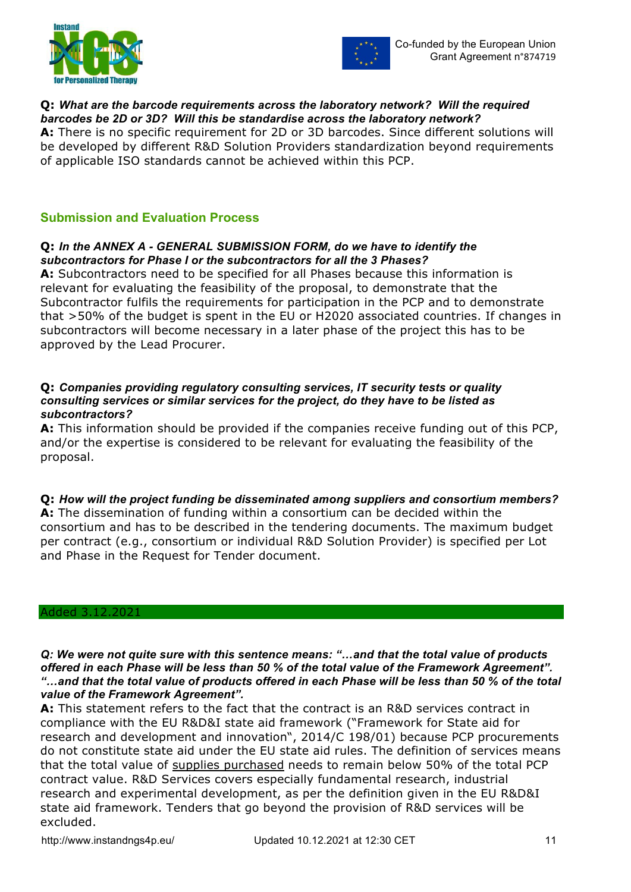



## **Q:** *What are the barcode requirements across the laboratory network? Will the required barcodes be 2D or 3D? Will this be standardise across the laboratory network?*

**A:** There is no specific requirement for 2D or 3D barcodes. Since different solutions will be developed by different R&D Solution Providers standardization beyond requirements of applicable ISO standards cannot be achieved within this PCP.

## **Submission and Evaluation Process**

## **Q:** *In the ANNEX A - GENERAL SUBMISSION FORM, do we have to identify the subcontractors for Phase I or the subcontractors for all the 3 Phases?*

**A:** Subcontractors need to be specified for all Phases because this information is relevant for evaluating the feasibility of the proposal, to demonstrate that the Subcontractor fulfils the requirements for participation in the PCP and to demonstrate that >50% of the budget is spent in the EU or H2020 associated countries. If changes in subcontractors will become necessary in a later phase of the project this has to be approved by the Lead Procurer.

#### **Q:** *Companies providing regulatory consulting services, IT security tests or quality consulting services or similar services for the project, do they have to be listed as subcontractors?*

**A:** This information should be provided if the companies receive funding out of this PCP, and/or the expertise is considered to be relevant for evaluating the feasibility of the proposal.

## **Q:** *How will the project funding be disseminated among suppliers and consortium members?*

**A:** The dissemination of funding within a consortium can be decided within the consortium and has to be described in the tendering documents. The maximum budget per contract (e.g., consortium or individual R&D Solution Provider) is specified per Lot and Phase in the Request for Tender document.

#### Added 3.12.2021

*Q: We were not quite sure with this sentence means: "…and that the total value of products offered in each Phase will be less than 50 % of the total value of the Framework Agreement". "…and that the total value of products offered in each Phase will be less than 50 % of the total value of the Framework Agreement".* 

**A:** This statement refers to the fact that the contract is an R&D services contract in compliance with the EU R&D&I state aid framework ("Framework for State aid for research and development and innovation", 2014/C 198/01) because PCP procurements do not constitute state aid under the EU state aid rules. The definition of services means that the total value of supplies purchased needs to remain below 50% of the total PCP contract value. R&D Services covers especially fundamental research, industrial research and experimental development, as per the definition given in the EU R&D&I state aid framework. Tenders that go beyond the provision of R&D services will be excluded.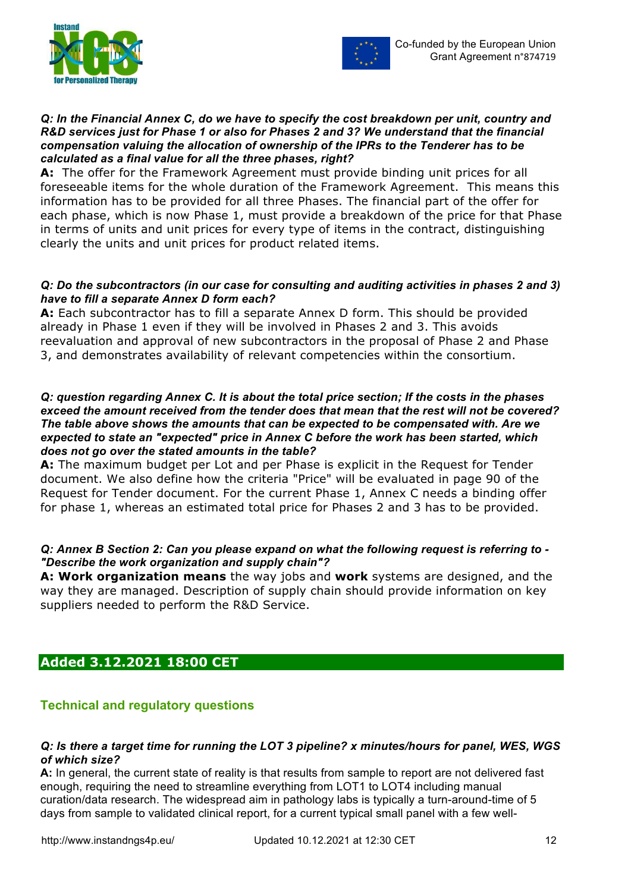



## *Q: In the Financial Annex C, do we have to specify the cost breakdown per unit, country and R&D services just for Phase 1 or also for Phases 2 and 3? We understand that the financial compensation valuing the allocation of ownership of the IPRs to the Tenderer has to be calculated as a final value for all the three phases, right?*

**A:** The offer for the Framework Agreement must provide binding unit prices for all foreseeable items for the whole duration of the Framework Agreement. This means this information has to be provided for all three Phases. The financial part of the offer for each phase, which is now Phase 1, must provide a breakdown of the price for that Phase in terms of units and unit prices for every type of items in the contract, distinguishing clearly the units and unit prices for product related items.

## *Q: Do the subcontractors (in our case for consulting and auditing activities in phases 2 and 3) have to fill a separate Annex D form each?*

**A:** Each subcontractor has to fill a separate Annex D form. This should be provided already in Phase 1 even if they will be involved in Phases 2 and 3. This avoids reevaluation and approval of new subcontractors in the proposal of Phase 2 and Phase 3, and demonstrates availability of relevant competencies within the consortium.

#### *Q: question regarding Annex C. It is about the total price section; If the costs in the phases exceed the amount received from the tender does that mean that the rest will not be covered? The table above shows the amounts that can be expected to be compensated with. Are we expected to state an "expected" price in Annex C before the work has been started, which does not go over the stated amounts in the table?*

**A:** The maximum budget per Lot and per Phase is explicit in the Request for Tender document. We also define how the criteria "Price" will be evaluated in page 90 of the Request for Tender document. For the current Phase 1, Annex C needs a binding offer for phase 1, whereas an estimated total price for Phases 2 and 3 has to be provided.

## *Q: Annex B Section 2: Can you please expand on what the following request is referring to - "Describe the work organization and supply chain"?*

**A: Work organization means** the way jobs and **work** systems are designed, and the way they are managed. Description of supply chain should provide information on key suppliers needed to perform the R&D Service.

## **Added 3.12.2021 18:00 CET**

## **Technical and regulatory questions**

## *Q: Is there a target time for running the LOT 3 pipeline? x minutes/hours for panel, WES, WGS of which size?*

**A:** In general, the current state of reality is that results from sample to report are not delivered fast enough, requiring the need to streamline everything from LOT1 to LOT4 including manual curation/data research. The widespread aim in pathology labs is typically a turn-around-time of 5 days from sample to validated clinical report, for a current typical small panel with a few well-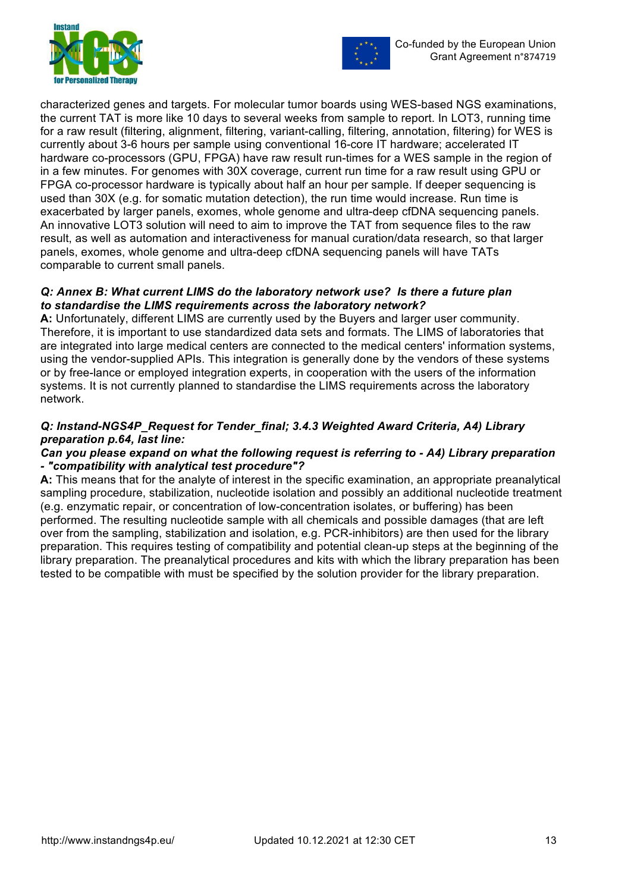



characterized genes and targets. For molecular tumor boards using WES-based NGS examinations, the current TAT is more like 10 days to several weeks from sample to report. In LOT3, running time for a raw result (filtering, alignment, filtering, variant-calling, filtering, annotation, filtering) for WES is currently about 3-6 hours per sample using conventional 16-core IT hardware; accelerated IT hardware co-processors (GPU, FPGA) have raw result run-times for a WES sample in the region of in a few minutes. For genomes with 30X coverage, current run time for a raw result using GPU or FPGA co-processor hardware is typically about half an hour per sample. If deeper sequencing is used than 30X (e.g. for somatic mutation detection), the run time would increase. Run time is exacerbated by larger panels, exomes, whole genome and ultra-deep cfDNA sequencing panels. An innovative LOT3 solution will need to aim to improve the TAT from sequence files to the raw result, as well as automation and interactiveness for manual curation/data research, so that larger panels, exomes, whole genome and ultra-deep cfDNA sequencing panels will have TATs comparable to current small panels.

## *Q: Annex B: What current LIMS do the laboratory network use? Is there a future plan to standardise the LIMS requirements across the laboratory network?*

**A:** Unfortunately, different LIMS are currently used by the Buyers and larger user community. Therefore, it is important to use standardized data sets and formats. The LIMS of laboratories that are integrated into large medical centers are connected to the medical centers' information systems, using the vendor-supplied APIs. This integration is generally done by the vendors of these systems or by free-lance or employed integration experts, in cooperation with the users of the information systems. It is not currently planned to standardise the LIMS requirements across the laboratory network.

## *Q: Instand-NGS4P\_Request for Tender\_final; 3.4.3 Weighted Award Criteria, A4) Library preparation p.64, last line:*

## *Can you please expand on what the following request is referring to - A4) Library preparation - "compatibility with analytical test procedure"?*

**A:** This means that for the analyte of interest in the specific examination, an appropriate preanalytical sampling procedure, stabilization, nucleotide isolation and possibly an additional nucleotide treatment (e.g. enzymatic repair, or concentration of low-concentration isolates, or buffering) has been performed. The resulting nucleotide sample with all chemicals and possible damages (that are left over from the sampling, stabilization and isolation, e.g. PCR-inhibitors) are then used for the library preparation. This requires testing of compatibility and potential clean-up steps at the beginning of the library preparation. The preanalytical procedures and kits with which the library preparation has been tested to be compatible with must be specified by the solution provider for the library preparation.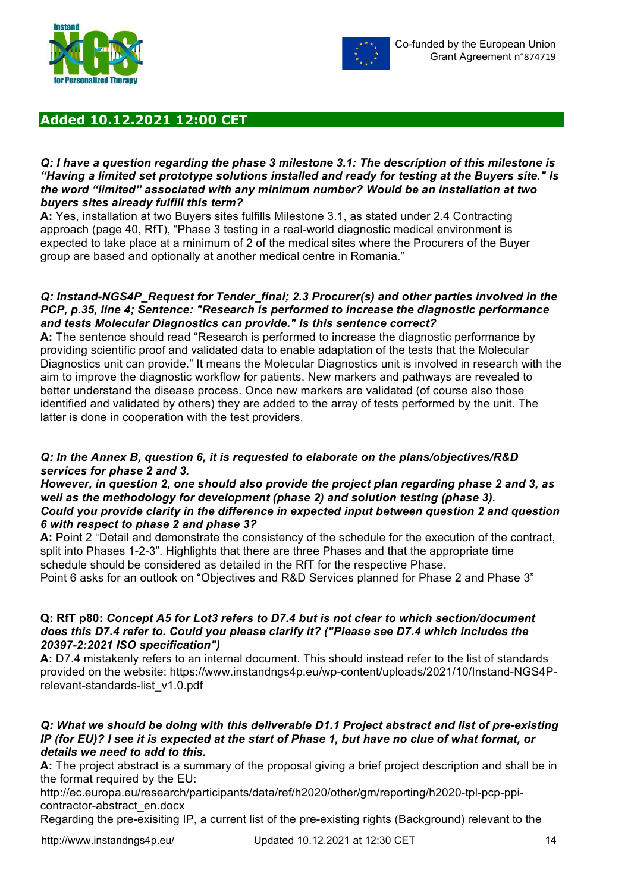



## **Added 10.12.2021 12:00 CET**

#### *Q: I have a question regarding the phase 3 milestone 3.1: The description of this milestone is "Having a limited set prototype solutions installed and ready for testing at the Buyers site." Is the word "limited" associated with any minimum number? Would be an installation at two buyers sites already fulfill this term?*

**A:** Yes, installation at two Buyers sites fulfills Milestone 3.1, as stated under 2.4 Contracting approach (page 40, RfT), "Phase 3 testing in a real-world diagnostic medical environment is expected to take place at a minimum of 2 of the medical sites where the Procurers of the Buyer group are based and optionally at another medical centre in Romania."

#### *Q: Instand-NGS4P\_Request for Tender\_final; 2.3 Procurer(s) and other parties involved in the PCP, p.35, line 4; Sentence: "Research is performed to increase the diagnostic performance and tests Molecular Diagnostics can provide." Is this sentence correct?*

**A:** The sentence should read "Research is performed to increase the diagnostic performance by providing scientific proof and validated data to enable adaptation of the tests that the Molecular Diagnostics unit can provide." It means the Molecular Diagnostics unit is involved in research with the aim to improve the diagnostic workflow for patients. New markers and pathways are revealed to better understand the disease process. Once new markers are validated (of course also those identified and validated by others) they are added to the array of tests performed by the unit. The latter is done in cooperation with the test providers.

## *Q: In the Annex B, question 6, it is requested to elaborate on the plans/objectives/R&D services for phase 2 and 3.*

#### *However, in question 2, one should also provide the project plan regarding phase 2 and 3, as well as the methodology for development (phase 2) and solution testing (phase 3). Could you provide clarity in the difference in expected input between question 2 and question 6 with respect to phase 2 and phase 3?*

**A:** Point 2 "Detail and demonstrate the consistency of the schedule for the execution of the contract, split into Phases 1-2-3". Highlights that there are three Phases and that the appropriate time schedule should be considered as detailed in the RfT for the respective Phase.

Point 6 asks for an outlook on "Objectives and R&D Services planned for Phase 2 and Phase 3"

#### **Q: RfT p80:** *Concept A5 for Lot3 refers to D7.4 but is not clear to which section/document does this D7.4 refer to. Could you please clarify it? ("Please see D7.4 which includes the 20397-2:2021 ISO specification")*

**A:** D7.4 mistakenly refers to an internal document. This should instead refer to the list of standards provided on the website: https://www.instandngs4p.eu/wp-content/uploads/2021/10/Instand-NGS4Prelevant-standards-list\_v1.0.pdf

#### *Q: What we should be doing with this deliverable D1.1 Project abstract and list of pre-existing IP (for EU)? I see it is expected at the start of Phase 1, but have no clue of what format, or details we need to add to this.*

**A:** The project abstract is a summary of the proposal giving a brief project description and shall be in the format required by the EU:

http://ec.europa.eu/research/participants/data/ref/h2020/other/gm/reporting/h2020-tpl-pcp-ppicontractor-abstract\_en.docx

Regarding the pre-exisiting IP, a current list of the pre-existing rights (Background) relevant to the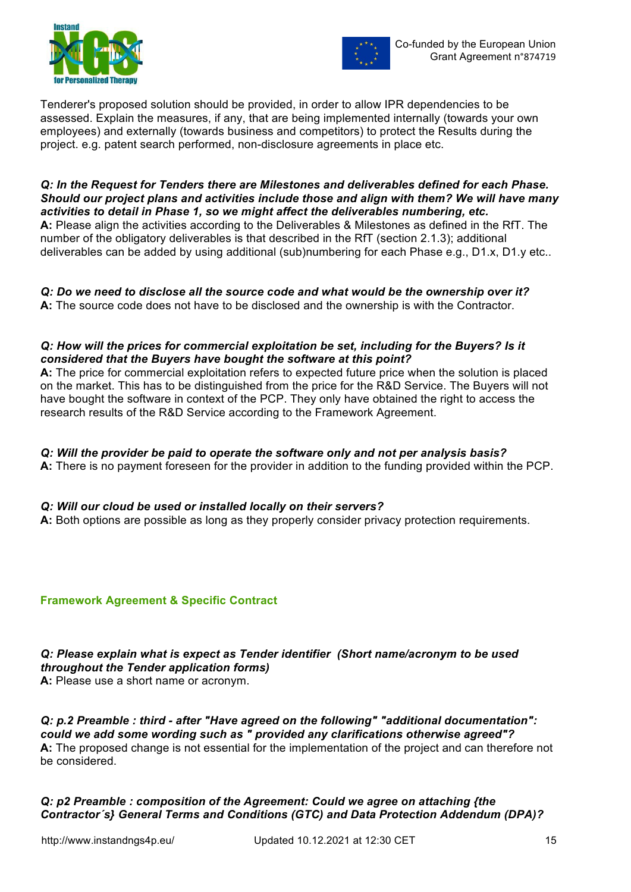



Tenderer's proposed solution should be provided, in order to allow IPR dependencies to be assessed. Explain the measures, if any, that are being implemented internally (towards your own employees) and externally (towards business and competitors) to protect the Results during the project. e.g. patent search performed, non-disclosure agreements in place etc.

*Q: In the Request for Tenders there are Milestones and deliverables defined for each Phase. Should our project plans and activities include those and align with them? We will have many activities to detail in Phase 1, so we might affect the deliverables numbering, etc.* **A:** Please align the activities according to the Deliverables & Milestones as defined in the RfT. The number of the obligatory deliverables is that described in the RfT (section 2.1.3); additional deliverables can be added by using additional (sub)numbering for each Phase e.g., D1.x, D1.y etc..

*Q: Do we need to disclose all the source code and what would be the ownership over it?* **A:** The source code does not have to be disclosed and the ownership is with the Contractor.

## *Q: How will the prices for commercial exploitation be set, including for the Buyers? Is it considered that the Buyers have bought the software at this point?*

**A:** The price for commercial exploitation refers to expected future price when the solution is placed on the market. This has to be distinguished from the price for the R&D Service. The Buyers will not have bought the software in context of the PCP. They only have obtained the right to access the research results of the R&D Service according to the Framework Agreement.

## *Q: Will the provider be paid to operate the software only and not per analysis basis?*

**A:** There is no payment foreseen for the provider in addition to the funding provided within the PCP.

## *Q: Will our cloud be used or installed locally on their servers?*

**A:** Both options are possible as long as they properly consider privacy protection requirements.

## **Framework Agreement & Specific Contract**

*Q: Please explain what is expect as Tender identifier (Short name/acronym to be used throughout the Tender application forms)* 

**A:** Please use a short name or acronym.

*Q: p.2 Preamble : third - after "Have agreed on the following" "additional documentation": could we add some wording such as " provided any clarifications otherwise agreed"?*  **A:** The proposed change is not essential for the implementation of the project and can therefore not be considered.

## *Q: p2 Preamble : composition of the Agreement: Could we agree on attaching {the Contractor´s} General Terms and Conditions (GTC) and Data Protection Addendum (DPA)?*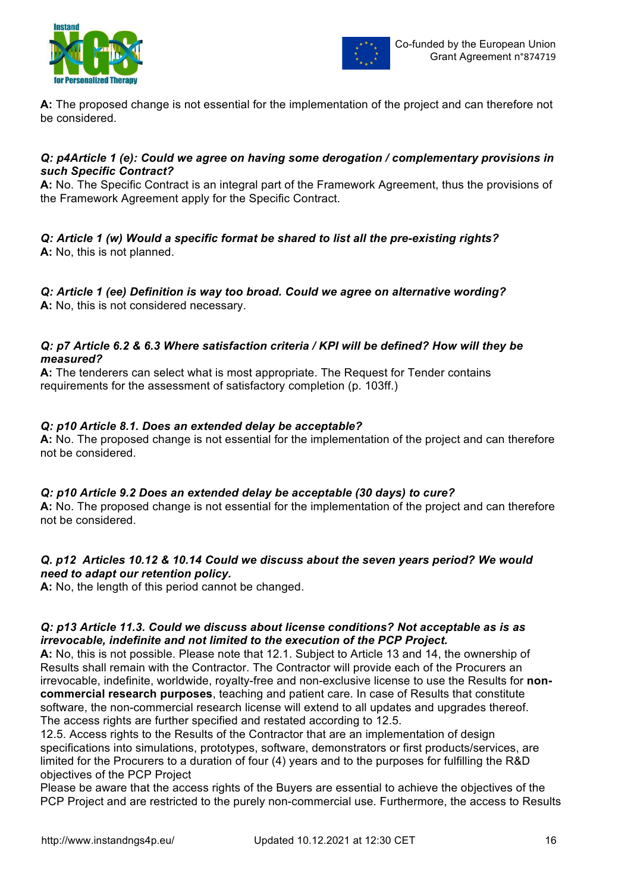



**A:** The proposed change is not essential for the implementation of the project and can therefore not be considered.

## *Q: p4Article 1 (e): Could we agree on having some derogation / complementary provisions in such Specific Contract?*

**A:** No. The Specific Contract is an integral part of the Framework Agreement, thus the provisions of the Framework Agreement apply for the Specific Contract.

#### *Q: Article 1 (w) Would a specific format be shared to list all the pre-existing rights?*  **A:** No, this is not planned.

*Q: Article 1 (ee) Definition is way too broad. Could we agree on alternative wording?*  **A:** No, this is not considered necessary.

## *Q: p7 Article 6.2 & 6.3 Where satisfaction criteria / KPI will be defined? How will they be measured?*

**A:** The tenderers can select what is most appropriate. The Request for Tender contains requirements for the assessment of satisfactory completion (p. 103ff.)

## *Q: p10 Article 8.1. Does an extended delay be acceptable?*

**A:** No. The proposed change is not essential for the implementation of the project and can therefore not be considered.

## *Q: p10 Article 9.2 Does an extended delay be acceptable (30 days) to cure?*

**A:** No. The proposed change is not essential for the implementation of the project and can therefore not be considered.

## *Q. p12 Articles 10.12 & 10.14 Could we discuss about the seven years period? We would need to adapt our retention policy.*

**A:** No, the length of this period cannot be changed.

## *Q: p13 Article 11.3. Could we discuss about license conditions? Not acceptable as is as irrevocable, indefinite and not limited to the execution of the PCP Project.*

**A:** No, this is not possible. Please note that 12.1. Subject to Article 13 and 14, the ownership of Results shall remain with the Contractor. The Contractor will provide each of the Procurers an irrevocable, indefinite, worldwide, royalty-free and non-exclusive license to use the Results for **noncommercial research purposes**, teaching and patient care. In case of Results that constitute software, the non-commercial research license will extend to all updates and upgrades thereof. The access rights are further specified and restated according to 12.5.

12.5. Access rights to the Results of the Contractor that are an implementation of design specifications into simulations, prototypes, software, demonstrators or first products/services, are limited for the Procurers to a duration of four (4) years and to the purposes for fulfilling the R&D objectives of the PCP Project

Please be aware that the access rights of the Buyers are essential to achieve the objectives of the PCP Project and are restricted to the purely non-commercial use. Furthermore, the access to Results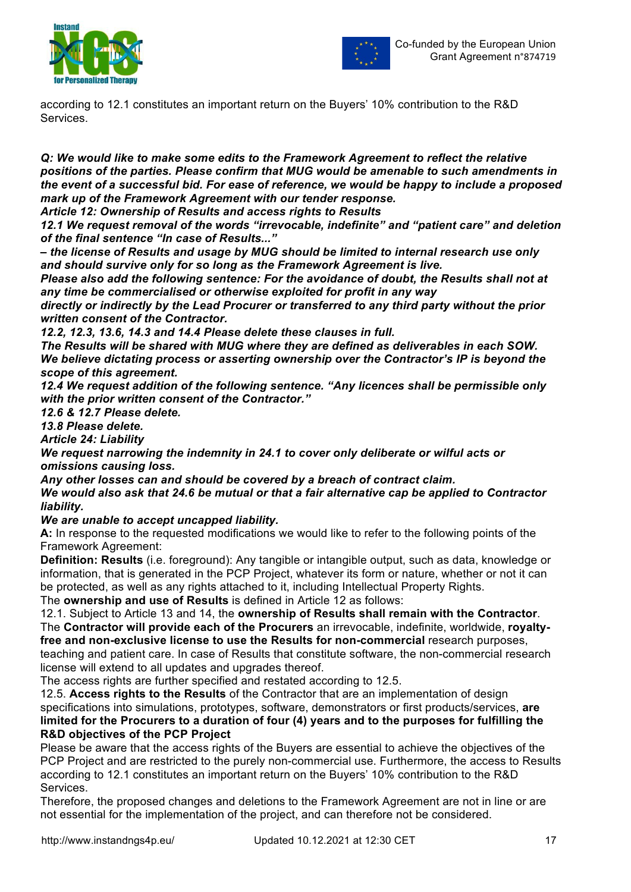



according to 12.1 constitutes an important return on the Buyers' 10% contribution to the R&D Services.

*Q: We would like to make some edits to the Framework Agreement to reflect the relative positions of the parties. Please confirm that MUG would be amenable to such amendments in the event of a successful bid. For ease of reference, we would be happy to include a proposed mark up of the Framework Agreement with our tender response.*

*Article 12: Ownership of Results and access rights to Results*

*12.1 We request removal of the words "irrevocable, indefinite" and "patient care" and deletion of the final sentence "In case of Results..."* 

*– the license of Results and usage by MUG should be limited to internal research use only and should survive only for so long as the Framework Agreement is live.* 

*Please also add the following sentence: For the avoidance of doubt, the Results shall not at any time be commercialised or otherwise exploited for profit in any way* 

*directly or indirectly by the Lead Procurer or transferred to any third party without the prior written consent of the Contractor.* 

*12.2, 12.3, 13.6, 14.3 and 14.4 Please delete these clauses in full.* 

*The Results will be shared with MUG where they are defined as deliverables in each SOW. We believe dictating process or asserting ownership over the Contractor's IP is beyond the scope of this agreement.* 

*12.4 We request addition of the following sentence. "Any licences shall be permissible only with the prior written consent of the Contractor."*

*12.6 & 12.7 Please delete.* 

*13.8 Please delete.*

*Article 24: Liability*

*We request narrowing the indemnity in 24.1 to cover only deliberate or wilful acts or omissions causing loss.* 

*Any other losses can and should be covered by a breach of contract claim.* 

*We would also ask that 24.6 be mutual or that a fair alternative cap be applied to Contractor liability.* 

*We are unable to accept uncapped liability.* 

**A:** In response to the requested modifications we would like to refer to the following points of the Framework Agreement:

**Definition: Results** (i.e. foreground): Any tangible or intangible output, such as data, knowledge or information, that is generated in the PCP Project, whatever its form or nature, whether or not it can be protected, as well as any rights attached to it, including Intellectual Property Rights.

The **ownership and use of Results** is defined in Article 12 as follows:

12.1. Subject to Article 13 and 14, the **ownership of Results shall remain with the Contractor**. The **Contractor will provide each of the Procurers** an irrevocable, indefinite, worldwide, **royaltyfree and non-exclusive license to use the Results for non-commercial** research purposes, teaching and patient care. In case of Results that constitute software, the non-commercial research license will extend to all updates and upgrades thereof.

The access rights are further specified and restated according to 12.5.

12.5. **Access rights to the Results** of the Contractor that are an implementation of design specifications into simulations, prototypes, software, demonstrators or first products/services, **are limited for the Procurers to a duration of four (4) years and to the purposes for fulfilling the R&D objectives of the PCP Project**

Please be aware that the access rights of the Buyers are essential to achieve the objectives of the PCP Project and are restricted to the purely non-commercial use. Furthermore, the access to Results according to 12.1 constitutes an important return on the Buyers' 10% contribution to the R&D Services.

Therefore, the proposed changes and deletions to the Framework Agreement are not in line or are not essential for the implementation of the project, and can therefore not be considered.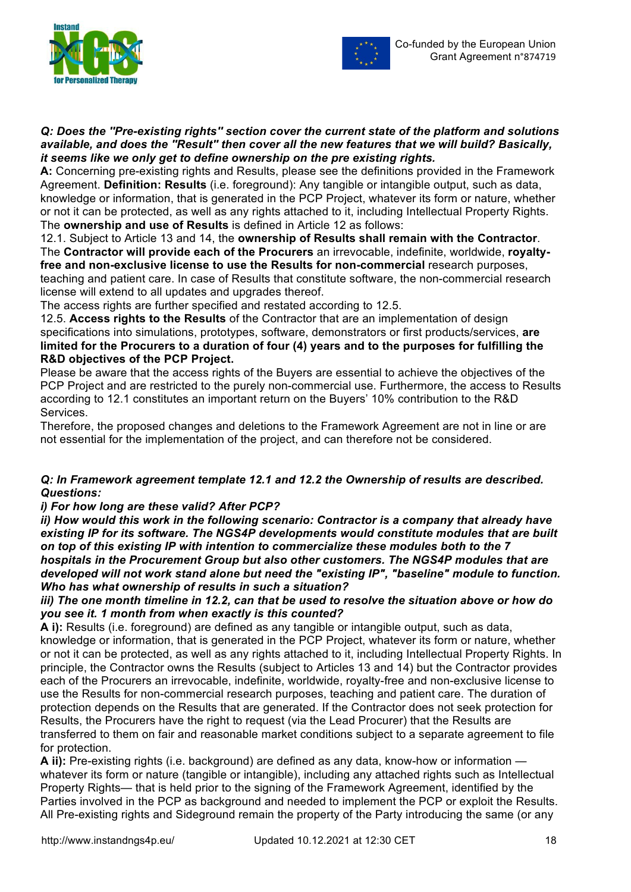



#### *Q: Does the ''Pre-existing rights'' section cover the current state of the platform and solutions available, and does the ''Result'' then cover all the new features that we will build? Basically, it seems like we only get to define ownership on the pre existing rights.*

**A:** Concerning pre-existing rights and Results, please see the definitions provided in the Framework Agreement. **Definition: Results** (i.e. foreground): Any tangible or intangible output, such as data, knowledge or information, that is generated in the PCP Project, whatever its form or nature, whether or not it can be protected, as well as any rights attached to it, including Intellectual Property Rights. The **ownership and use of Results** is defined in Article 12 as follows:

12.1. Subject to Article 13 and 14, the **ownership of Results shall remain with the Contractor**. The **Contractor will provide each of the Procurers** an irrevocable, indefinite, worldwide, **royaltyfree and non-exclusive license to use the Results for non-commercial** research purposes, teaching and patient care. In case of Results that constitute software, the non-commercial research license will extend to all updates and upgrades thereof.

The access rights are further specified and restated according to 12.5.

12.5. **Access rights to the Results** of the Contractor that are an implementation of design specifications into simulations, prototypes, software, demonstrators or first products/services, **are limited for the Procurers to a duration of four (4) years and to the purposes for fulfilling the R&D objectives of the PCP Project.**

Please be aware that the access rights of the Buyers are essential to achieve the objectives of the PCP Project and are restricted to the purely non-commercial use. Furthermore, the access to Results according to 12.1 constitutes an important return on the Buyers' 10% contribution to the R&D Services.

Therefore, the proposed changes and deletions to the Framework Agreement are not in line or are not essential for the implementation of the project, and can therefore not be considered.

## *Q: In Framework agreement template 12.1 and 12.2 the Ownership of results are described. Questions:*

## *i) For how long are these valid? After PCP?*

*ii) How would this work in the following scenario: Contractor is a company that already have existing IP for its software. The NGS4P developments would constitute modules that are built on top of this existing IP with intention to commercialize these modules both to the 7 hospitals in the Procurement Group but also other customers. The NGS4P modules that are developed will not work stand alone but need the "existing IP", "baseline" module to function. Who has what ownership of results in such a situation?* 

## *iii) The one month timeline in 12.2, can that be used to resolve the situation above or how do you see it. 1 month from when exactly is this counted?*

**A i):** Results (i.e. foreground) are defined as any tangible or intangible output, such as data, knowledge or information, that is generated in the PCP Project, whatever its form or nature, whether or not it can be protected, as well as any rights attached to it, including Intellectual Property Rights. In principle, the Contractor owns the Results (subject to Articles 13 and 14) but the Contractor provides each of the Procurers an irrevocable, indefinite, worldwide, royalty-free and non-exclusive license to use the Results for non-commercial research purposes, teaching and patient care. The duration of protection depends on the Results that are generated. If the Contractor does not seek protection for Results, the Procurers have the right to request (via the Lead Procurer) that the Results are transferred to them on fair and reasonable market conditions subject to a separate agreement to file for protection.

**A ii):** Pre-existing rights (i.e. background) are defined as any data, know-how or information whatever its form or nature (tangible or intangible), including any attached rights such as Intellectual Property Rights— that is held prior to the signing of the Framework Agreement, identified by the Parties involved in the PCP as background and needed to implement the PCP or exploit the Results. All Pre-existing rights and Sideground remain the property of the Party introducing the same (or any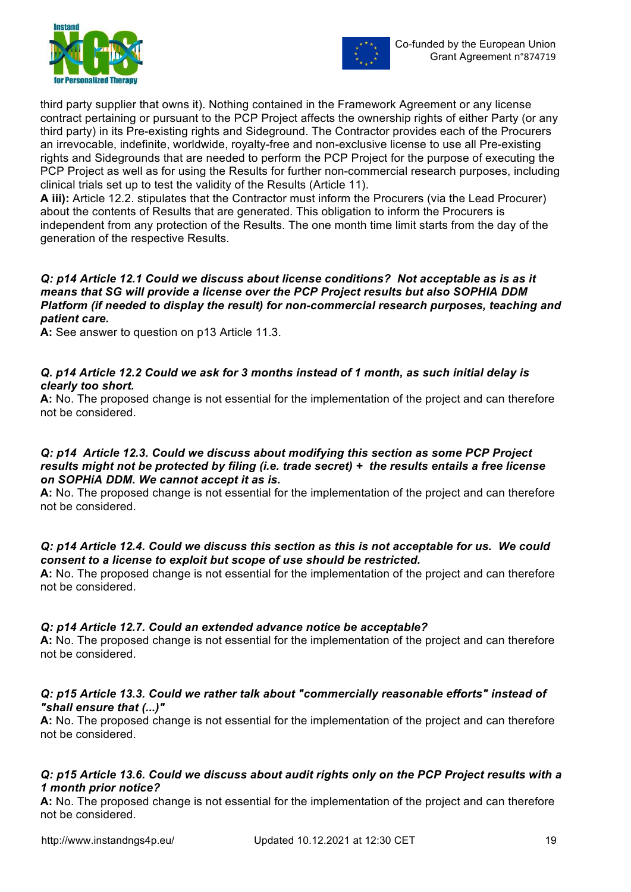



third party supplier that owns it). Nothing contained in the Framework Agreement or any license contract pertaining or pursuant to the PCP Project affects the ownership rights of either Party (or any third party) in its Pre-existing rights and Sideground. The Contractor provides each of the Procurers an irrevocable, indefinite, worldwide, royalty-free and non-exclusive license to use all Pre-existing rights and Sidegrounds that are needed to perform the PCP Project for the purpose of executing the PCP Project as well as for using the Results for further non-commercial research purposes, including clinical trials set up to test the validity of the Results (Article 11).

**A iii):** Article 12.2. stipulates that the Contractor must inform the Procurers (via the Lead Procurer) about the contents of Results that are generated. This obligation to inform the Procurers is independent from any protection of the Results. The one month time limit starts from the day of the generation of the respective Results.

#### *Q: p14 Article 12.1 Could we discuss about license conditions? Not acceptable as is as it means that SG will provide a license over the PCP Project results but also SOPHIA DDM Platform (if needed to display the result) for non-commercial research purposes, teaching and patient care.*

**A:** See answer to question on p13 Article 11.3.

## *Q. p14 Article 12.2 Could we ask for 3 months instead of 1 month, as such initial delay is clearly too short.*

**A:** No. The proposed change is not essential for the implementation of the project and can therefore not be considered.

#### *Q: p14 Article 12.3. Could we discuss about modifying this section as some PCP Project results might not be protected by filing (i.e. trade secret) + the results entails a free license on SOPHiA DDM. We cannot accept it as is.*

**A:** No. The proposed change is not essential for the implementation of the project and can therefore not be considered.

## *Q: p14 Article 12.4. Could we discuss this section as this is not acceptable for us. We could consent to a license to exploit but scope of use should be restricted.*

**A:** No. The proposed change is not essential for the implementation of the project and can therefore not be considered.

## *Q: p14 Article 12.7. Could an extended advance notice be acceptable?*

**A:** No. The proposed change is not essential for the implementation of the project and can therefore not be considered.

## *Q: p15 Article 13.3. Could we rather talk about "commercially reasonable efforts" instead of "shall ensure that (...)"*

**A:** No. The proposed change is not essential for the implementation of the project and can therefore not be considered.

## *Q: p15 Article 13.6. Could we discuss about audit rights only on the PCP Project results with a 1 month prior notice?*

**A:** No. The proposed change is not essential for the implementation of the project and can therefore not be considered.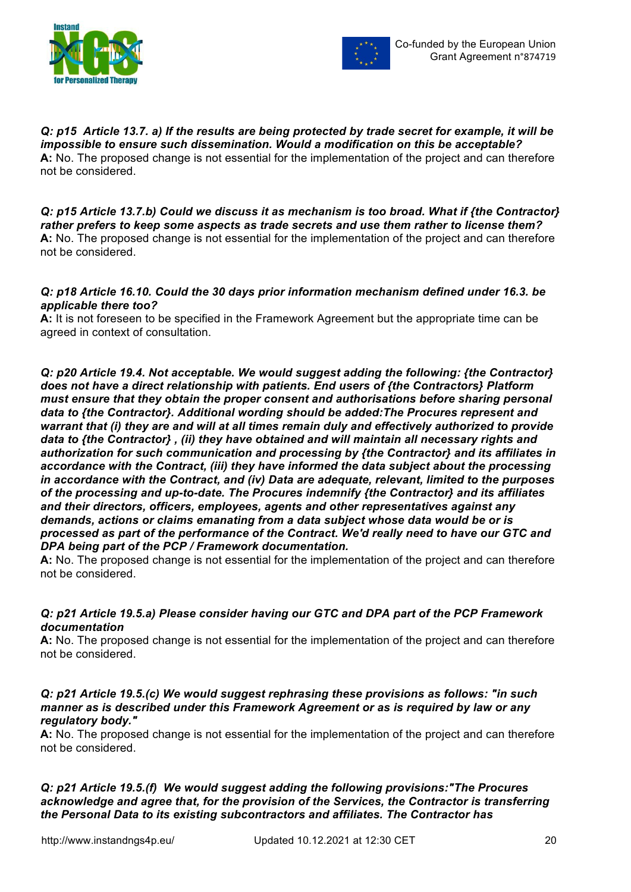



*Q: p15 Article 13.7. a) If the results are being protected by trade secret for example, it will be impossible to ensure such dissemination. Would a modification on this be acceptable?*  **A:** No. The proposed change is not essential for the implementation of the project and can therefore not be considered.

*Q: p15 Article 13.7.b) Could we discuss it as mechanism is too broad. What if {the Contractor} rather prefers to keep some aspects as trade secrets and use them rather to license them?*  **A:** No. The proposed change is not essential for the implementation of the project and can therefore not be considered.

## *Q: p18 Article 16.10. Could the 30 days prior information mechanism defined under 16.3. be applicable there too?*

**A:** It is not foreseen to be specified in the Framework Agreement but the appropriate time can be agreed in context of consultation.

*Q: p20 Article 19.4. Not acceptable. We would suggest adding the following: {the Contractor} does not have a direct relationship with patients. End users of {the Contractors} Platform must ensure that they obtain the proper consent and authorisations before sharing personal data to {the Contractor}. Additional wording should be added:The Procures represent and warrant that (i) they are and will at all times remain duly and effectively authorized to provide data to {the Contractor} , (ii) they have obtained and will maintain all necessary rights and authorization for such communication and processing by {the Contractor} and its affiliates in accordance with the Contract, (iii) they have informed the data subject about the processing in accordance with the Contract, and (iv) Data are adequate, relevant, limited to the purposes of the processing and up-to-date. The Procures indemnify {the Contractor} and its affiliates and their directors, officers, employees, agents and other representatives against any demands, actions or claims emanating from a data subject whose data would be or is processed as part of the performance of the Contract. We'd really need to have our GTC and DPA being part of the PCP / Framework documentation.*

**A:** No. The proposed change is not essential for the implementation of the project and can therefore not be considered.

## *Q: p21 Article 19.5.a) Please consider having our GTC and DPA part of the PCP Framework documentation*

**A:** No. The proposed change is not essential for the implementation of the project and can therefore not be considered.

#### *Q: p21 Article 19.5.(c) We would suggest rephrasing these provisions as follows: "in such manner as is described under this Framework Agreement or as is required by law or any regulatory body."*

**A:** No. The proposed change is not essential for the implementation of the project and can therefore not be considered.

*Q: p21 Article 19.5.(f) We would suggest adding the following provisions:"The Procures acknowledge and agree that, for the provision of the Services, the Contractor is transferring the Personal Data to its existing subcontractors and affiliates. The Contractor has*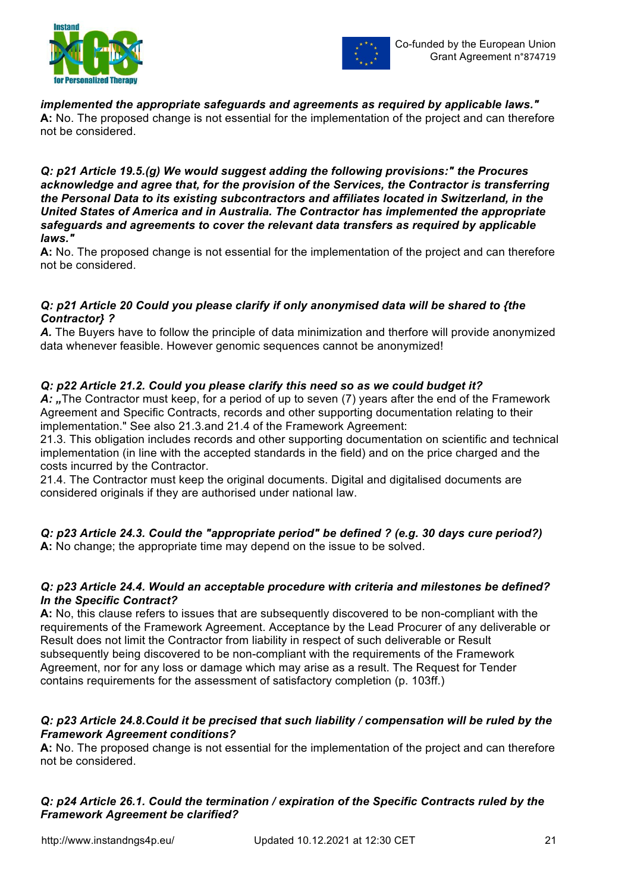



*implemented the appropriate safeguards and agreements as required by applicable laws."* **A:** No. The proposed change is not essential for the implementation of the project and can therefore not be considered.

#### *Q: p21 Article 19.5.(g) We would suggest adding the following provisions:" the Procures acknowledge and agree that, for the provision of the Services, the Contractor is transferring the Personal Data to its existing subcontractors and affiliates located in Switzerland, in the United States of America and in Australia. The Contractor has implemented the appropriate safeguards and agreements to cover the relevant data transfers as required by applicable laws."*

**A:** No. The proposed change is not essential for the implementation of the project and can therefore not be considered.

## *Q: p21 Article 20 Could you please clarify if only anonymised data will be shared to {the Contractor} ?*

*A.* The Buyers have to follow the principle of data minimization and therfore will provide anonymized data whenever feasible. However genomic sequences cannot be anonymized!

## *Q: p22 Article 21.2. Could you please clarify this need so as we could budget it?*

A: "The Contractor must keep, for a period of up to seven (7) years after the end of the Framework Agreement and Specific Contracts, records and other supporting documentation relating to their implementation." See also 21.3.and 21.4 of the Framework Agreement:

21.3. This obligation includes records and other supporting documentation on scientific and technical implementation (in line with the accepted standards in the field) and on the price charged and the costs incurred by the Contractor.

21.4. The Contractor must keep the original documents. Digital and digitalised documents are considered originals if they are authorised under national law.

*Q: p23 Article 24.3. Could the "appropriate period" be defined ? (e.g. 30 days cure period?)* **A:** No change; the appropriate time may depend on the issue to be solved.

## *Q: p23 Article 24.4. Would an acceptable procedure with criteria and milestones be defined? In the Specific Contract?*

**A:** No, this clause refers to issues that are subsequently discovered to be non-compliant with the requirements of the Framework Agreement. Acceptance by the Lead Procurer of any deliverable or Result does not limit the Contractor from liability in respect of such deliverable or Result subsequently being discovered to be non-compliant with the requirements of the Framework Agreement, nor for any loss or damage which may arise as a result. The Request for Tender contains requirements for the assessment of satisfactory completion (p. 103ff.)

## *Q: p23 Article 24.8.Could it be precised that such liability / compensation will be ruled by the Framework Agreement conditions?*

**A:** No. The proposed change is not essential for the implementation of the project and can therefore not be considered.

## *Q: p24 Article 26.1. Could the termination / expiration of the Specific Contracts ruled by the Framework Agreement be clarified?*